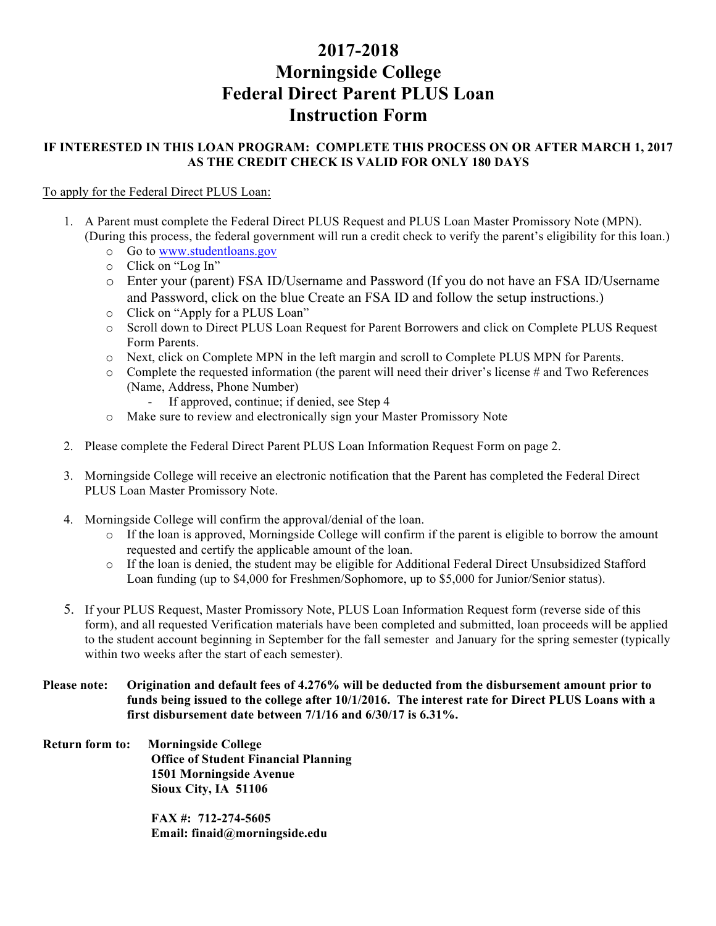## **2017-2018 Morningside College Federal Direct Parent PLUS Loan Instruction Form**

## **IF INTERESTED IN THIS LOAN PROGRAM: COMPLETE THIS PROCESS ON OR AFTER MARCH 1, 2017 AS THE CREDIT CHECK IS VALID FOR ONLY 180 DAYS**

## To apply for the Federal Direct PLUS Loan:

- 1. A Parent must complete the Federal Direct PLUS Request and PLUS Loan Master Promissory Note (MPN). (During this process, the federal government will run a credit check to verify the parent's eligibility for this loan.)
	- o Go to www.studentloans.gov
	- o Click on "Log In"
	- o Enter your (parent) FSA ID/Username and Password (If you do not have an FSA ID/Username and Password, click on the blue Create an FSA ID and follow the setup instructions.)
	- o Click on "Apply for a PLUS Loan"
	- o Scroll down to Direct PLUS Loan Request for Parent Borrowers and click on Complete PLUS Request Form Parents.
	- o Next, click on Complete MPN in the left margin and scroll to Complete PLUS MPN for Parents.
	- o Complete the requested information (the parent will need their driver's license # and Two References (Name, Address, Phone Number)
		- If approved, continue; if denied, see Step 4
	- o Make sure to review and electronically sign your Master Promissory Note
- 2. Please complete the Federal Direct Parent PLUS Loan Information Request Form on page 2.
- 3. Morningside College will receive an electronic notification that the Parent has completed the Federal Direct PLUS Loan Master Promissory Note.
- 4. Morningside College will confirm the approval/denial of the loan.
	- o If the loan is approved, Morningside College will confirm if the parent is eligible to borrow the amount requested and certify the applicable amount of the loan.
	- o If the loan is denied, the student may be eligible for Additional Federal Direct Unsubsidized Stafford Loan funding (up to \$4,000 for Freshmen/Sophomore, up to \$5,000 for Junior/Senior status).
- 5. If your PLUS Request, Master Promissory Note, PLUS Loan Information Request form (reverse side of this form), and all requested Verification materials have been completed and submitted, loan proceeds will be applied to the student account beginning in September for the fall semester and January for the spring semester (typically within two weeks after the start of each semester).
- **Please note: Origination and default fees of 4.276% will be deducted from the disbursement amount prior to funds being issued to the college after 10/1/2016. The interest rate for Direct PLUS Loans with a first disbursement date between 7/1/16 and 6/30/17 is 6.31%.**
- **Return form to: Morningside College Office of Student Financial Planning 1501 Morningside Avenue Sioux City, IA 51106**

**FAX #: 712-274-5605 Email: finaid@morningside.edu**